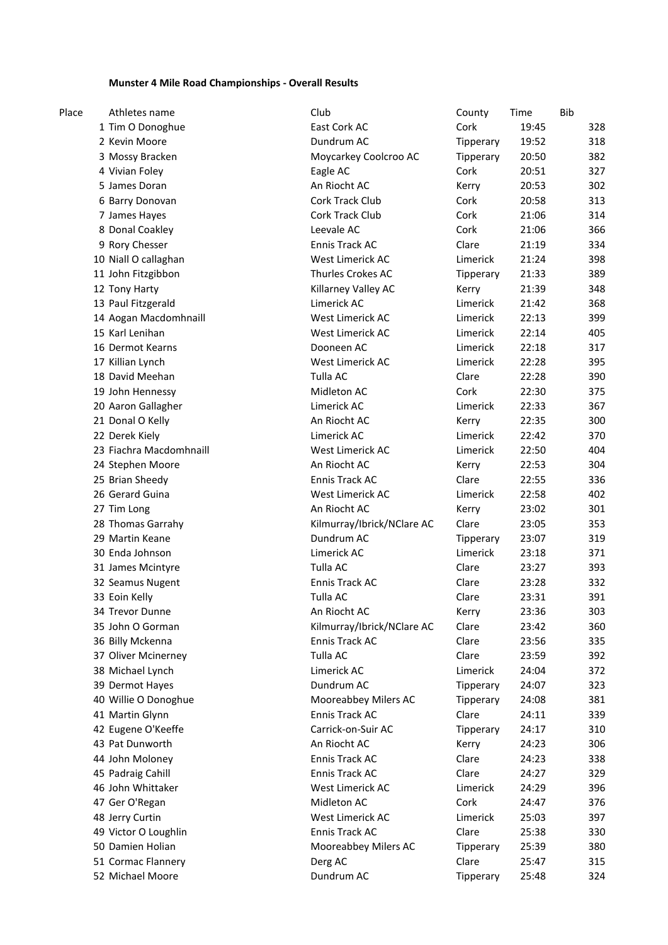# **Munster 4 Mile Road Championships - Overall Results**

| Place | Athletes name           | Club                       | County    | Time  | <b>Bib</b> |
|-------|-------------------------|----------------------------|-----------|-------|------------|
|       | 1 Tim O Donoghue        | East Cork AC               | Cork      | 19:45 | 328        |
|       | 2 Kevin Moore           | Dundrum AC                 | Tipperary | 19:52 | 318        |
|       | 3 Mossy Bracken         | Moycarkey Coolcroo AC      | Tipperary | 20:50 | 382        |
|       | 4 Vivian Foley          | Eagle AC                   | Cork      | 20:51 | 327        |
|       | 5 James Doran           | An Riocht AC               | Kerry     | 20:53 | 302        |
|       | 6 Barry Donovan         | Cork Track Club            | Cork      | 20:58 | 313        |
|       | 7 James Hayes           | Cork Track Club            | Cork      | 21:06 | 314        |
|       | 8 Donal Coakley         | Leevale AC                 | Cork      | 21:06 | 366        |
|       | 9 Rory Chesser          | Ennis Track AC             | Clare     | 21:19 | 334        |
|       | 10 Niall O callaghan    | West Limerick AC           | Limerick  | 21:24 | 398        |
|       | 11 John Fitzgibbon      | Thurles Crokes AC          | Tipperary | 21:33 | 389        |
|       | 12 Tony Harty           | Killarney Valley AC        | Kerry     | 21:39 | 348        |
|       | 13 Paul Fitzgerald      | Limerick AC                | Limerick  | 21:42 | 368        |
|       | 14 Aogan Macdomhnaill   | West Limerick AC           | Limerick  | 22:13 | 399        |
|       | 15 Karl Lenihan         | West Limerick AC           | Limerick  | 22:14 | 405        |
|       | 16 Dermot Kearns        | Dooneen AC                 | Limerick  | 22:18 | 317        |
|       | 17 Killian Lynch        | West Limerick AC           | Limerick  | 22:28 | 395        |
|       | 18 David Meehan         | Tulla AC                   | Clare     | 22:28 | 390        |
|       | 19 John Hennessy        | Midleton AC                | Cork      | 22:30 | 375        |
|       | 20 Aaron Gallagher      | Limerick AC                | Limerick  | 22:33 | 367        |
|       | 21 Donal O Kelly        | An Riocht AC               | Kerry     | 22:35 | 300        |
|       | 22 Derek Kiely          | Limerick AC                | Limerick  | 22:42 | 370        |
|       | 23 Fiachra Macdomhnaill | West Limerick AC           | Limerick  | 22:50 | 404        |
|       | 24 Stephen Moore        | An Riocht AC               | Kerry     | 22:53 | 304        |
|       | 25 Brian Sheedy         | Ennis Track AC             | Clare     | 22:55 | 336        |
|       | 26 Gerard Guina         | West Limerick AC           | Limerick  | 22:58 | 402        |
|       | 27 Tim Long             | An Riocht AC               | Kerry     | 23:02 | 301        |
|       | 28 Thomas Garrahy       | Kilmurray/Ibrick/NClare AC | Clare     | 23:05 | 353        |
|       | 29 Martin Keane         | Dundrum AC                 | Tipperary | 23:07 | 319        |
|       | 30 Enda Johnson         | Limerick AC                | Limerick  | 23:18 | 371        |
|       | 31 James Mcintyre       | Tulla AC                   | Clare     | 23:27 | 393        |
|       | 32 Seamus Nugent        | <b>Ennis Track AC</b>      | Clare     | 23:28 | 332        |
|       | 33 Eoin Kelly           | Tulla AC                   | Clare     | 23:31 | 391        |
|       | 34 Trevor Dunne         | An Riocht AC               | Kerry     | 23:36 | 303        |
|       | 35 John O Gorman        | Kilmurray/Ibrick/NClare AC | Clare     | 23:42 | 360        |
|       | 36 Billy Mckenna        | Ennis Track AC             | Clare     | 23:56 | 335        |
|       | 37 Oliver Mcinerney     | Tulla AC                   | Clare     | 23:59 | 392        |
|       | 38 Michael Lynch        | Limerick AC                | Limerick  | 24:04 | 372        |
|       | 39 Dermot Hayes         | Dundrum AC                 | Tipperary | 24:07 | 323        |
|       | 40 Willie O Donoghue    | Mooreabbey Milers AC       | Tipperary | 24:08 | 381        |
|       | 41 Martin Glynn         | Ennis Track AC             | Clare     | 24:11 | 339        |
|       | 42 Eugene O'Keeffe      | Carrick-on-Suir AC         | Tipperary | 24:17 | 310        |
|       | 43 Pat Dunworth         | An Riocht AC               | Kerry     | 24:23 | 306        |
|       | 44 John Moloney         | Ennis Track AC             | Clare     | 24:23 | 338        |
|       | 45 Padraig Cahill       | Ennis Track AC             | Clare     | 24:27 | 329        |
|       | 46 John Whittaker       | West Limerick AC           | Limerick  | 24:29 | 396        |
|       | 47 Ger O'Regan          | Midleton AC                | Cork      | 24:47 | 376        |
|       | 48 Jerry Curtin         | West Limerick AC           | Limerick  | 25:03 | 397        |
|       | 49 Victor O Loughlin    | Ennis Track AC             | Clare     | 25:38 | 330        |
|       | 50 Damien Holian        | Mooreabbey Milers AC       | Tipperary | 25:39 | 380        |
|       | 51 Cormac Flannery      | Derg AC                    | Clare     | 25:47 | 315        |
|       | 52 Michael Moore        | Dundrum AC                 | Tipperary | 25:48 | 324        |
|       |                         |                            |           |       |            |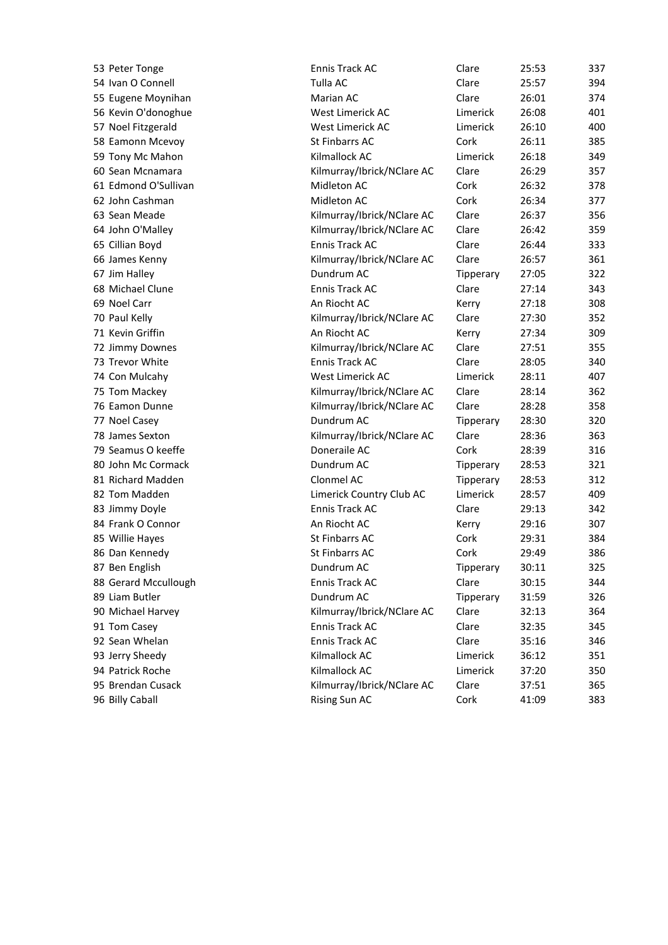| 53 Peter Tonge       | Ennis Track AC             | Clare     | 25:53 | 337 |
|----------------------|----------------------------|-----------|-------|-----|
| 54 Ivan O Connell    | Tulla AC                   | Clare     | 25:57 | 394 |
| 55 Eugene Moynihan   | Marian AC                  | Clare     | 26:01 | 374 |
| 56 Kevin O'donoghue  | West Limerick AC           | Limerick  | 26:08 | 401 |
| 57 Noel Fitzgerald   | West Limerick AC           | Limerick  | 26:10 | 400 |
| 58 Eamonn Mcevoy     | St Finbarrs AC             | Cork      | 26:11 | 385 |
| 59 Tony Mc Mahon     | Kilmallock AC              | Limerick  | 26:18 | 349 |
| 60 Sean Mcnamara     | Kilmurray/Ibrick/NClare AC | Clare     | 26:29 | 357 |
| 61 Edmond O'Sullivan | Midleton AC                | Cork      | 26:32 | 378 |
| 62 John Cashman      | Midleton AC                | Cork      | 26:34 | 377 |
| 63 Sean Meade        | Kilmurray/Ibrick/NClare AC | Clare     | 26:37 | 356 |
| 64 John O'Malley     | Kilmurray/Ibrick/NClare AC | Clare     | 26:42 | 359 |
| 65 Cillian Boyd      | <b>Ennis Track AC</b>      | Clare     | 26:44 | 333 |
| 66 James Kenny       | Kilmurray/Ibrick/NClare AC | Clare     | 26:57 | 361 |
| 67 Jim Halley        | Dundrum AC                 | Tipperary | 27:05 | 322 |
| 68 Michael Clune     | Ennis Track AC             | Clare     | 27:14 | 343 |
| 69 Noel Carr         | An Riocht AC               | Kerry     | 27:18 | 308 |
| 70 Paul Kelly        | Kilmurray/Ibrick/NClare AC | Clare     | 27:30 | 352 |
| 71 Kevin Griffin     | An Riocht AC               | Kerry     | 27:34 | 309 |
| 72 Jimmy Downes      | Kilmurray/Ibrick/NClare AC | Clare     | 27:51 | 355 |
| 73 Trevor White      | <b>Ennis Track AC</b>      | Clare     | 28:05 | 340 |
| 74 Con Mulcahy       | West Limerick AC           | Limerick  | 28:11 | 407 |
| 75 Tom Mackey        | Kilmurray/Ibrick/NClare AC | Clare     | 28:14 | 362 |
| 76 Eamon Dunne       | Kilmurray/Ibrick/NClare AC | Clare     | 28:28 | 358 |
| 77 Noel Casey        | Dundrum AC                 | Tipperary | 28:30 | 320 |
| 78 James Sexton      | Kilmurray/Ibrick/NClare AC | Clare     | 28:36 | 363 |
| 79 Seamus O keeffe   | Doneraile AC               | Cork      | 28:39 | 316 |
| 80 John Mc Cormack   | Dundrum AC                 | Tipperary | 28:53 | 321 |
| 81 Richard Madden    | Clonmel AC                 | Tipperary | 28:53 | 312 |
| 82 Tom Madden        | Limerick Country Club AC   | Limerick  | 28:57 | 409 |
| 83 Jimmy Doyle       | Ennis Track AC             | Clare     | 29:13 | 342 |
| 84 Frank O Connor    | An Riocht AC               | Kerry     | 29:16 | 307 |
| 85 Willie Hayes      | St Finbarrs AC             | Cork      | 29:31 | 384 |
| 86 Dan Kennedy       | St Finbarrs AC             | Cork      | 29:49 | 386 |
| 87 Ben English       | Dundrum AC                 | Tipperary | 30:11 | 325 |
| 88 Gerard Mccullough | Ennis Track AC             | Clare     | 30:15 | 344 |
| 89 Liam Butler       | Dundrum AC                 | Tipperary | 31:59 | 326 |
| 90 Michael Harvey    | Kilmurray/Ibrick/NClare AC | Clare     | 32:13 | 364 |
| 91 Tom Casey         | Ennis Track AC             | Clare     | 32:35 | 345 |
| 92 Sean Whelan       | Ennis Track AC             | Clare     | 35:16 | 346 |
| 93 Jerry Sheedy      | Kilmallock AC              | Limerick  | 36:12 | 351 |
| 94 Patrick Roche     | Kilmallock AC              | Limerick  | 37:20 | 350 |
| 95 Brendan Cusack    | Kilmurray/Ibrick/NClare AC | Clare     | 37:51 | 365 |
| 96 Billy Caball      | Rising Sun AC              | Cork      | 41:09 | 383 |
|                      |                            |           |       |     |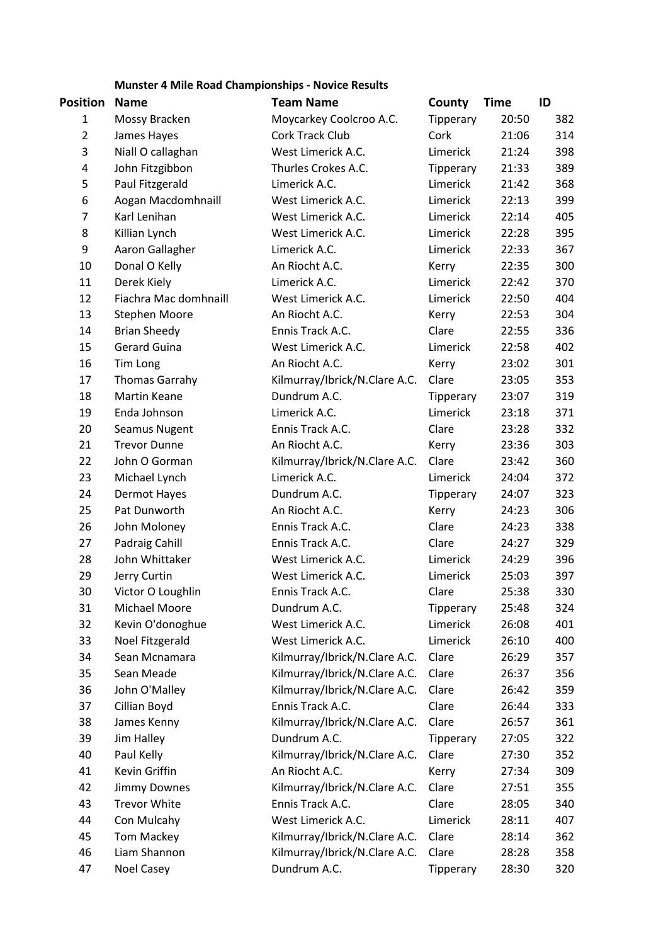**Munster 4 Mile Road Championships - Novice Results**

| Position       | <b>Name</b>           | <b>Team Name</b>              | County    | <b>Time</b> | ID  |
|----------------|-----------------------|-------------------------------|-----------|-------------|-----|
| 1              | Mossy Bracken         | Moycarkey Coolcroo A.C.       | Tipperary | 20:50       | 382 |
| $\overline{2}$ | James Hayes           | Cork Track Club               | Cork      | 21:06       | 314 |
| 3              | Niall O callaghan     | West Limerick A.C.            | Limerick  | 21:24       | 398 |
| 4              | John Fitzgibbon       | Thurles Crokes A.C.           | Tipperary | 21:33       | 389 |
| 5              | Paul Fitzgerald       | Limerick A.C.                 | Limerick  | 21:42       | 368 |
| 6              | Aogan Macdomhnaill    | West Limerick A.C.            | Limerick  | 22:13       | 399 |
| $\overline{7}$ | Karl Lenihan          | West Limerick A.C.            | Limerick  | 22:14       | 405 |
| 8              | Killian Lynch         | West Limerick A.C.            | Limerick  | 22:28       | 395 |
| 9              | Aaron Gallagher       | Limerick A.C.                 | Limerick  | 22:33       | 367 |
| 10             | Donal O Kelly         | An Riocht A.C.                | Kerry     | 22:35       | 300 |
| 11             | Derek Kiely           | Limerick A.C.                 | Limerick  | 22:42       | 370 |
| 12             | Fiachra Mac domhnaill | West Limerick A.C.            | Limerick  | 22:50       | 404 |
| 13             | <b>Stephen Moore</b>  | An Riocht A.C.                | Kerry     | 22:53       | 304 |
| 14             | <b>Brian Sheedy</b>   | Ennis Track A.C.              | Clare     | 22:55       | 336 |
| 15             | <b>Gerard Guina</b>   | West Limerick A.C.            | Limerick  | 22:58       | 402 |
| 16             | Tim Long              | An Riocht A.C.                | Kerry     | 23:02       | 301 |
| 17             | <b>Thomas Garrahy</b> | Kilmurray/Ibrick/N.Clare A.C. | Clare     | 23:05       | 353 |
| 18             | <b>Martin Keane</b>   | Dundrum A.C.                  | Tipperary | 23:07       | 319 |
| 19             | Enda Johnson          | Limerick A.C.                 | Limerick  | 23:18       | 371 |
| 20             | Seamus Nugent         | Ennis Track A.C.              | Clare     | 23:28       | 332 |
| 21             | <b>Trevor Dunne</b>   | An Riocht A.C.                | Kerry     | 23:36       | 303 |
| 22             | John O Gorman         | Kilmurray/Ibrick/N.Clare A.C. | Clare     | 23:42       | 360 |
| 23             | Michael Lynch         | Limerick A.C.                 | Limerick  | 24:04       | 372 |
| 24             | Dermot Hayes          | Dundrum A.C.                  | Tipperary | 24:07       | 323 |
| 25             | Pat Dunworth          | An Riocht A.C.                | Kerry     | 24:23       | 306 |
| 26             | John Moloney          | Ennis Track A.C.              | Clare     | 24:23       | 338 |
| 27             | Padraig Cahill        | Ennis Track A.C.              | Clare     | 24:27       | 329 |
| 28             | John Whittaker        | West Limerick A.C.            | Limerick  | 24:29       | 396 |
| 29             | Jerry Curtin          | West Limerick A.C.            | Limerick  | 25:03       | 397 |
| 30             | Victor O Loughlin     | Ennis Track A.C.              | Clare     | 25:38       | 330 |
| 31             | Michael Moore         | Dundrum A.C.                  | Tipperary | 25:48       | 324 |
| 32             | Kevin O'donoghue      | West Limerick A.C.            | Limerick  | 26:08       | 401 |
| 33             | Noel Fitzgerald       | West Limerick A.C.            | Limerick  | 26:10       | 400 |
| 34             | Sean Mcnamara         | Kilmurray/Ibrick/N.Clare A.C. | Clare     | 26:29       | 357 |
| 35             | Sean Meade            | Kilmurray/Ibrick/N.Clare A.C. | Clare     | 26:37       | 356 |
| 36             | John O'Malley         | Kilmurray/Ibrick/N.Clare A.C. | Clare     | 26:42       | 359 |
| 37             | Cillian Boyd          | Ennis Track A.C.              | Clare     | 26:44       | 333 |
| 38             | James Kenny           | Kilmurray/Ibrick/N.Clare A.C. | Clare     | 26:57       | 361 |
| 39             | Jim Halley            | Dundrum A.C.                  | Tipperary | 27:05       | 322 |
| 40             | Paul Kelly            | Kilmurray/Ibrick/N.Clare A.C. | Clare     | 27:30       | 352 |
| 41             | Kevin Griffin         | An Riocht A.C.                | Kerry     | 27:34       | 309 |
| 42             | <b>Jimmy Downes</b>   | Kilmurray/Ibrick/N.Clare A.C. | Clare     | 27:51       | 355 |
| 43             | <b>Trevor White</b>   | Ennis Track A.C.              | Clare     | 28:05       | 340 |
| 44             | Con Mulcahy           | West Limerick A.C.            | Limerick  | 28:11       | 407 |
| 45             | <b>Tom Mackey</b>     | Kilmurray/Ibrick/N.Clare A.C. | Clare     | 28:14       | 362 |
| 46             | Liam Shannon          | Kilmurray/Ibrick/N.Clare A.C. | Clare     | 28:28       | 358 |
| 47             | Noel Casey            | Dundrum A.C.                  | Tipperary | 28:30       | 320 |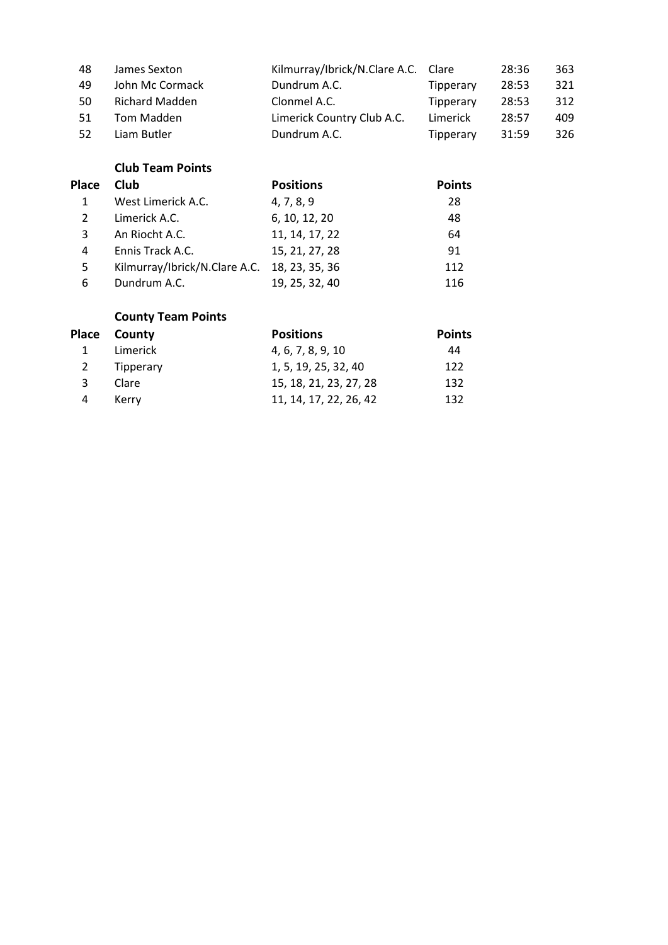| 48  | James Sexton          | Kilmurray/Ibrick/N.Clare A.C. Clare |           | 28:36 | 363 |
|-----|-----------------------|-------------------------------------|-----------|-------|-----|
| 49  | John Mc Cormack       | Dundrum A.C.                        | Tipperary | 28:53 | 321 |
| 50  | <b>Richard Madden</b> | Clonmel A.C.                        | Tipperary | 28:53 | 312 |
| 51  | Tom Madden            | Limerick Country Club A.C.          | Limerick  | 28:57 | 409 |
| -52 | Liam Butler           | Dundrum A.C.                        | Tipperary | 31:59 | 326 |

# **Club Team Points**

| <b>Place</b> | Club                                         | <b>Positions</b> | <b>Points</b> |
|--------------|----------------------------------------------|------------------|---------------|
| 1            | West Limerick A.C.                           | 4, 7, 8, 9       | 28            |
| 2            | Limerick A.C.                                | 6, 10, 12, 20    | 48            |
| 3            | An Riocht A.C.                               | 11, 14, 17, 22   | 64            |
| 4            | Ennis Track A.C.                             | 15, 21, 27, 28   | 91            |
| 5            | Kilmurray/Ibrick/N.Clare A.C. 18, 23, 35, 36 |                  | 112           |
| 6            | Dundrum A.C.                                 | 19, 25, 32, 40   | 116           |

# **County Team Points**

|              | Place County | <b>Positions</b>       | <b>Points</b> |
|--------------|--------------|------------------------|---------------|
| 1            | Limerick     | 4, 6, 7, 8, 9, 10      | 44            |
| <sup>2</sup> | Tipperary    | 1, 5, 19, 25, 32, 40   | 122           |
| 3            | Clare        | 15, 18, 21, 23, 27, 28 | 132           |
| 4            | Kerry        | 11, 14, 17, 22, 26, 42 | 132           |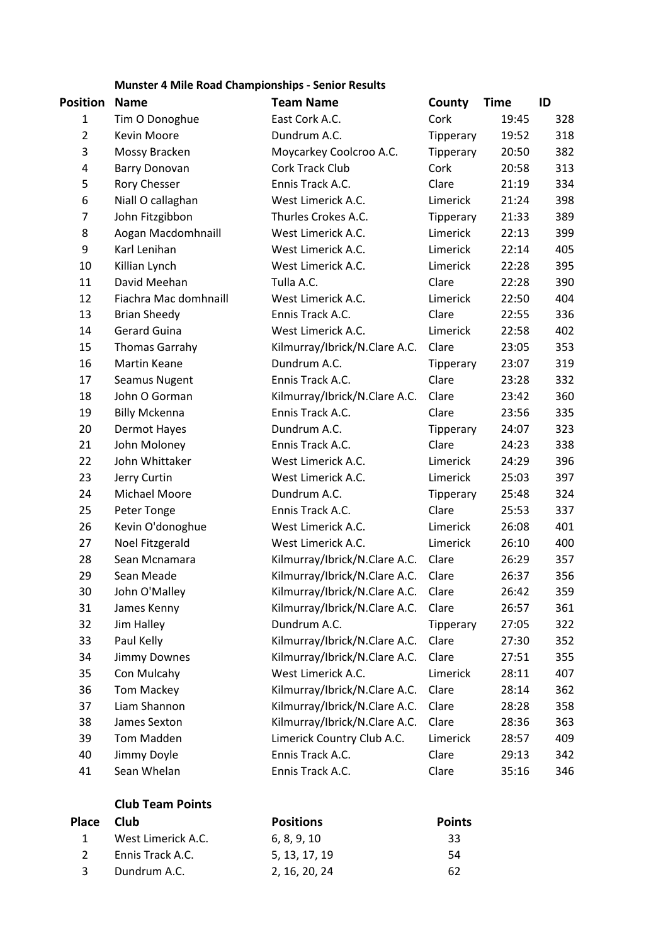**Munster 4 Mile Road Championships - Senior Results**

| Position       | <b>Name</b>           | <b>Team Name</b>              | County    | <b>Time</b> | ID  |
|----------------|-----------------------|-------------------------------|-----------|-------------|-----|
| $\mathbf{1}$   | Tim O Donoghue        | East Cork A.C.                | Cork      | 19:45       | 328 |
| $\overline{2}$ | Kevin Moore           | Dundrum A.C.                  | Tipperary | 19:52       | 318 |
| 3              | Mossy Bracken         | Moycarkey Coolcroo A.C.       | Tipperary | 20:50       | 382 |
| 4              | <b>Barry Donovan</b>  | Cork Track Club               | Cork      | 20:58       | 313 |
| 5              | Rory Chesser          | Ennis Track A.C.              | Clare     | 21:19       | 334 |
| 6              | Niall O callaghan     | West Limerick A.C.            | Limerick  | 21:24       | 398 |
| 7              | John Fitzgibbon       | Thurles Crokes A.C.           | Tipperary | 21:33       | 389 |
| 8              | Aogan Macdomhnaill    | West Limerick A.C.            | Limerick  | 22:13       | 399 |
| 9              | Karl Lenihan          | West Limerick A.C.            | Limerick  | 22:14       | 405 |
| 10             | Killian Lynch         | West Limerick A.C.            | Limerick  | 22:28       | 395 |
| 11             | David Meehan          | Tulla A.C.                    | Clare     | 22:28       | 390 |
| 12             | Fiachra Mac domhnaill | West Limerick A.C.            | Limerick  | 22:50       | 404 |
| 13             | <b>Brian Sheedy</b>   | Ennis Track A.C.              | Clare     | 22:55       | 336 |
| 14             | <b>Gerard Guina</b>   | West Limerick A.C.            | Limerick  | 22:58       | 402 |
| 15             | <b>Thomas Garrahy</b> | Kilmurray/Ibrick/N.Clare A.C. | Clare     | 23:05       | 353 |
| 16             | <b>Martin Keane</b>   | Dundrum A.C.                  | Tipperary | 23:07       | 319 |
| 17             | Seamus Nugent         | Ennis Track A.C.              | Clare     | 23:28       | 332 |
| 18             | John O Gorman         | Kilmurray/Ibrick/N.Clare A.C. | Clare     | 23:42       | 360 |
| 19             | <b>Billy Mckenna</b>  | Ennis Track A.C.              | Clare     | 23:56       | 335 |
| 20             | Dermot Hayes          | Dundrum A.C.                  | Tipperary | 24:07       | 323 |
| 21             | John Moloney          | Ennis Track A.C.              | Clare     | 24:23       | 338 |
| 22             | John Whittaker        | West Limerick A.C.            | Limerick  | 24:29       | 396 |
| 23             | Jerry Curtin          | West Limerick A.C.            | Limerick  | 25:03       | 397 |
| 24             | Michael Moore         | Dundrum A.C.                  | Tipperary | 25:48       | 324 |
| 25             | Peter Tonge           | Ennis Track A.C.              | Clare     | 25:53       | 337 |
| 26             | Kevin O'donoghue      | West Limerick A.C.            | Limerick  | 26:08       | 401 |
| 27             | Noel Fitzgerald       | West Limerick A.C.            | Limerick  | 26:10       | 400 |
| 28             | Sean Mcnamara         | Kilmurray/Ibrick/N.Clare A.C. | Clare     | 26:29       | 357 |
| 29             | Sean Meade            | Kilmurray/Ibrick/N.Clare A.C. | Clare     | 26:37       | 356 |
| 30             | John O'Malley         | Kilmurray/Ibrick/N.Clare A.C. | Clare     | 26:42       | 359 |
| 31             | James Kenny           | Kilmurray/Ibrick/N.Clare A.C. | Clare     | 26:57       | 361 |
| 32             | Jim Halley            | Dundrum A.C.                  | Tipperary | 27:05       | 322 |
| 33             | Paul Kelly            | Kilmurray/Ibrick/N.Clare A.C. | Clare     | 27:30       | 352 |
| 34             | <b>Jimmy Downes</b>   | Kilmurray/Ibrick/N.Clare A.C. | Clare     | 27:51       | 355 |
| 35             | Con Mulcahy           | West Limerick A.C.            | Limerick  | 28:11       | 407 |
| 36             | <b>Tom Mackey</b>     | Kilmurray/Ibrick/N.Clare A.C. | Clare     | 28:14       | 362 |
| 37             | Liam Shannon          | Kilmurray/Ibrick/N.Clare A.C. | Clare     | 28:28       | 358 |
| 38             | James Sexton          | Kilmurray/Ibrick/N.Clare A.C. | Clare     | 28:36       | 363 |
| 39             | <b>Tom Madden</b>     | Limerick Country Club A.C.    | Limerick  | 28:57       | 409 |
| 40             | Jimmy Doyle           | Ennis Track A.C.              | Clare     | 29:13       | 342 |
| 41             | Sean Whelan           | Ennis Track A.C.              | Clare     | 35:16       | 346 |

# **Club Team Points**

| Place Club |                    | <b>Positions</b> | <b>Points</b> |
|------------|--------------------|------------------|---------------|
|            | West Limerick A.C. | 6, 8, 9, 10      | 33            |
|            | Ennis Track A.C.   | 5, 13, 17, 19    | -54           |
|            | Dundrum A.C.       | 2. 16. 20. 24    | 62            |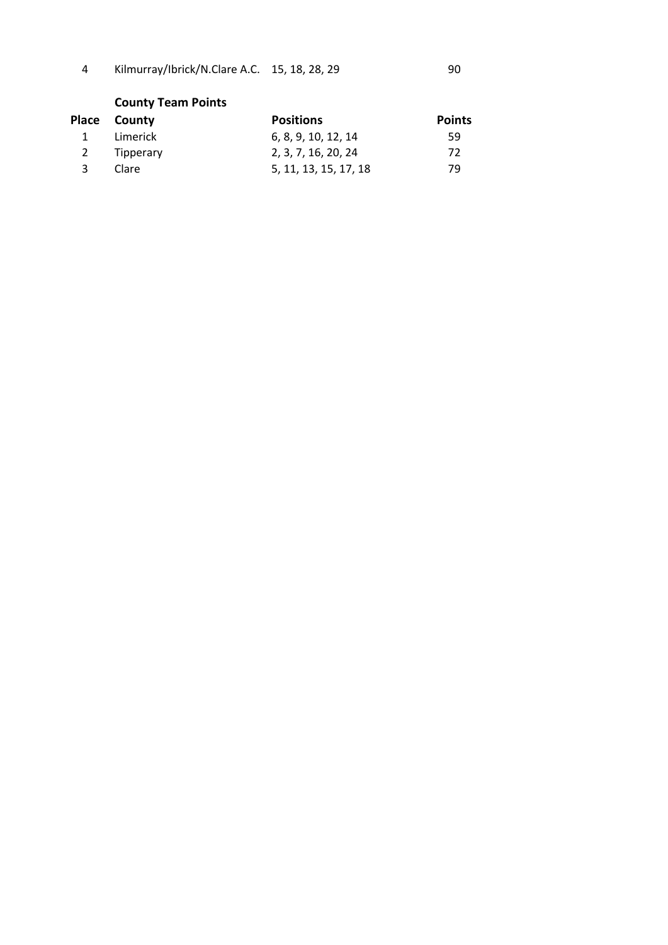4 Kilmurray/Ibrick/N.Clare A.C. 15, 18, 28, 29

| I  | ٠  |
|----|----|
|    |    |
|    | I  |
| i  | ł  |
| ۰. |    |
| ×  | ×  |
| v  | ۰. |
|    |    |

# **County Team Points**

|   | Place County | <b>Positions</b>      | <b>Points</b> |
|---|--------------|-----------------------|---------------|
| 1 | Limerick     | 6, 8, 9, 10, 12, 14   | 59            |
|   | 2 Tipperary  | 2, 3, 7, 16, 20, 24   | 72            |
| 3 | Clare        | 5, 11, 13, 15, 17, 18 | 79            |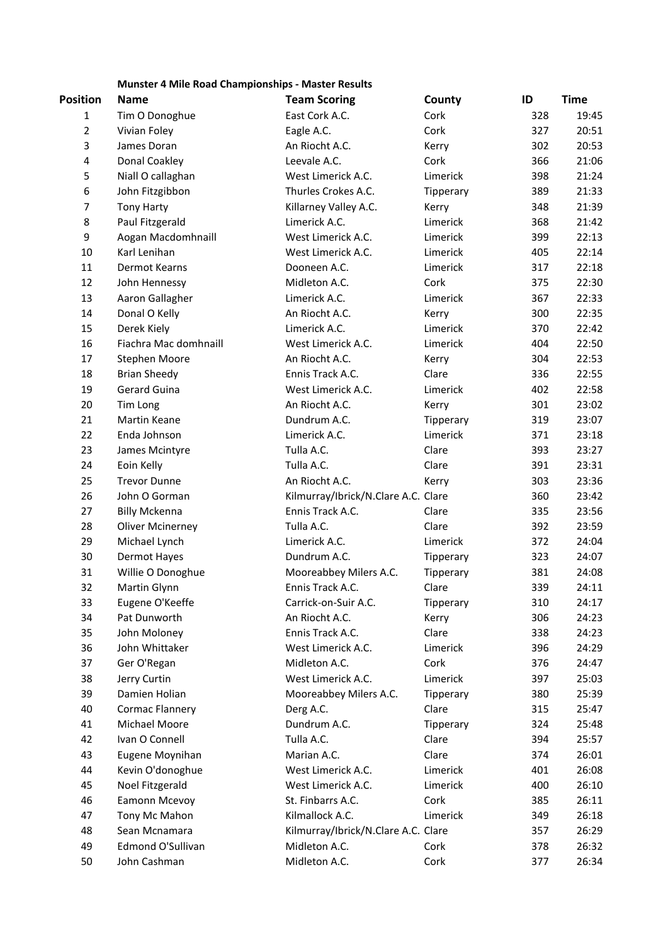# **Munster 4 Mile Road Championships - Master Results**

| Position       | <b>Name</b>             | <b>Team Scoring</b>                 | County    | ID  | <b>Time</b> |
|----------------|-------------------------|-------------------------------------|-----------|-----|-------------|
| 1              | Tim O Donoghue          | East Cork A.C.                      | Cork      | 328 | 19:45       |
| $\mathbf 2$    | Vivian Foley            | Eagle A.C.                          | Cork      | 327 | 20:51       |
| 3              | James Doran             | An Riocht A.C.                      | Kerry     | 302 | 20:53       |
| 4              | Donal Coakley           | Leevale A.C.                        | Cork      | 366 | 21:06       |
| 5              | Niall O callaghan       | West Limerick A.C.                  | Limerick  | 398 | 21:24       |
| 6              | John Fitzgibbon         | Thurles Crokes A.C.                 | Tipperary | 389 | 21:33       |
| $\overline{7}$ | <b>Tony Harty</b>       | Killarney Valley A.C.               | Kerry     | 348 | 21:39       |
| 8              | Paul Fitzgerald         | Limerick A.C.                       | Limerick  | 368 | 21:42       |
| 9              | Aogan Macdomhnaill      | West Limerick A.C.                  | Limerick  | 399 | 22:13       |
| 10             | Karl Lenihan            | West Limerick A.C.                  | Limerick  | 405 | 22:14       |
| 11             | Dermot Kearns           | Dooneen A.C.                        | Limerick  | 317 | 22:18       |
| 12             | John Hennessy           | Midleton A.C.                       | Cork      | 375 | 22:30       |
| 13             | Aaron Gallagher         | Limerick A.C.                       | Limerick  | 367 | 22:33       |
| 14             | Donal O Kelly           | An Riocht A.C.                      | Kerry     | 300 | 22:35       |
| 15             | Derek Kiely             | Limerick A.C.                       | Limerick  | 370 | 22:42       |
| 16             | Fiachra Mac domhnaill   | West Limerick A.C.                  | Limerick  | 404 | 22:50       |
| 17             | Stephen Moore           | An Riocht A.C.                      | Kerry     | 304 | 22:53       |
| 18             | <b>Brian Sheedy</b>     | Ennis Track A.C.                    | Clare     | 336 | 22:55       |
| 19             | <b>Gerard Guina</b>     | West Limerick A.C.                  | Limerick  | 402 | 22:58       |
| 20             | Tim Long                | An Riocht A.C.                      | Kerry     | 301 | 23:02       |
| 21             | Martin Keane            | Dundrum A.C.                        | Tipperary | 319 | 23:07       |
| 22             | Enda Johnson            | Limerick A.C.                       | Limerick  | 371 | 23:18       |
| 23             | James Mcintyre          | Tulla A.C.                          | Clare     | 393 | 23:27       |
| 24             | Eoin Kelly              | Tulla A.C.                          | Clare     | 391 | 23:31       |
| 25             | <b>Trevor Dunne</b>     | An Riocht A.C.                      | Kerry     | 303 | 23:36       |
| 26             | John O Gorman           | Kilmurray/Ibrick/N.Clare A.C. Clare |           | 360 | 23:42       |
| 27             | <b>Billy Mckenna</b>    | Ennis Track A.C.                    | Clare     | 335 | 23:56       |
| 28             | <b>Oliver Mcinerney</b> | Tulla A.C.                          | Clare     | 392 | 23:59       |
| 29             | Michael Lynch           | Limerick A.C.                       | Limerick  | 372 | 24:04       |
| 30             | Dermot Hayes            | Dundrum A.C.                        | Tipperary | 323 | 24:07       |
| 31             | Willie O Donoghue       | Mooreabbey Milers A.C.              | Tipperary | 381 | 24:08       |
| 32             | Martin Glynn            | Ennis Track A.C.                    | Clare     | 339 | 24:11       |
| 33             | Eugene O'Keeffe         | Carrick-on-Suir A.C.                | Tipperary | 310 | 24:17       |
| 34             | Pat Dunworth            | An Riocht A.C.                      | Kerry     | 306 | 24:23       |
| 35             | John Moloney            | Ennis Track A.C.                    | Clare     | 338 | 24:23       |
| 36             | John Whittaker          | West Limerick A.C.                  | Limerick  | 396 | 24:29       |
| 37             | Ger O'Regan             | Midleton A.C.                       | Cork      | 376 | 24:47       |
| 38             | Jerry Curtin            | West Limerick A.C.                  | Limerick  | 397 | 25:03       |
| 39             | Damien Holian           | Mooreabbey Milers A.C.              | Tipperary | 380 | 25:39       |
| 40             | Cormac Flannery         | Derg A.C.                           | Clare     | 315 | 25:47       |
| 41             | Michael Moore           | Dundrum A.C.                        | Tipperary | 324 | 25:48       |
| 42             | Ivan O Connell          | Tulla A.C.                          | Clare     | 394 | 25:57       |
| 43             | Eugene Moynihan         | Marian A.C.                         | Clare     | 374 | 26:01       |
| 44             | Kevin O'donoghue        | West Limerick A.C.                  | Limerick  | 401 | 26:08       |
| 45             | Noel Fitzgerald         | West Limerick A.C.                  | Limerick  | 400 | 26:10       |
| 46             | Eamonn Mcevoy           | St. Finbarrs A.C.                   | Cork      | 385 | 26:11       |
| 47             | Tony Mc Mahon           | Kilmallock A.C.                     | Limerick  | 349 | 26:18       |
| 48             | Sean Mcnamara           | Kilmurray/Ibrick/N.Clare A.C. Clare |           | 357 | 26:29       |
| 49             | Edmond O'Sullivan       | Midleton A.C.                       | Cork      | 378 | 26:32       |
| 50             | John Cashman            | Midleton A.C.                       | Cork      | 377 | 26:34       |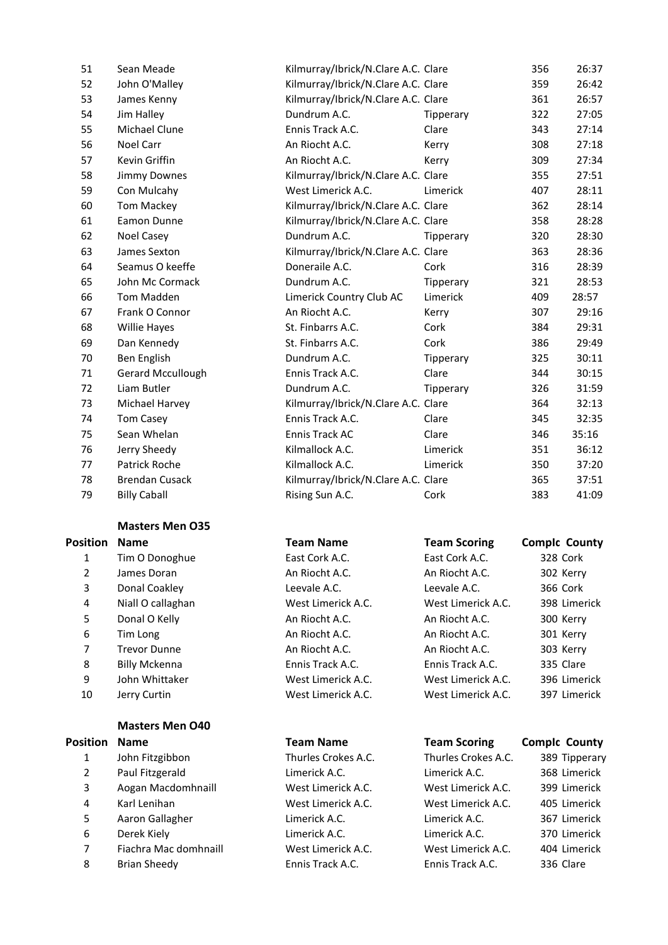| 51 | Sean Meade               | Kilmurray/Ibrick/N.Clare A.C. Clare |                  | 356 | 26:37 |
|----|--------------------------|-------------------------------------|------------------|-----|-------|
| 52 | John O'Malley            | Kilmurray/Ibrick/N.Clare A.C. Clare |                  | 359 | 26:42 |
| 53 | James Kenny              | Kilmurray/Ibrick/N.Clare A.C. Clare |                  | 361 | 26:57 |
| 54 | Jim Halley               | Dundrum A.C.                        | Tipperary        | 322 | 27:05 |
| 55 | <b>Michael Clune</b>     | Ennis Track A.C.                    | Clare            | 343 | 27:14 |
| 56 | Noel Carr                | An Riocht A.C.                      | Kerry            | 308 | 27:18 |
| 57 | Kevin Griffin            | An Riocht A.C.                      | Kerry            | 309 | 27:34 |
| 58 | Jimmy Downes             | Kilmurray/Ibrick/N.Clare A.C. Clare |                  | 355 | 27:51 |
| 59 | Con Mulcahy              | West Limerick A.C.                  | Limerick         | 407 | 28:11 |
| 60 | <b>Tom Mackey</b>        | Kilmurray/Ibrick/N.Clare A.C. Clare |                  | 362 | 28:14 |
| 61 | Eamon Dunne              | Kilmurray/Ibrick/N.Clare A.C. Clare |                  | 358 | 28:28 |
| 62 | Noel Casey               | Dundrum A.C.                        | <b>Tipperary</b> | 320 | 28:30 |
| 63 | James Sexton             | Kilmurray/Ibrick/N.Clare A.C. Clare |                  | 363 | 28:36 |
| 64 | Seamus O keeffe          | Doneraile A.C.                      | Cork             | 316 | 28:39 |
| 65 | John Mc Cormack          | Dundrum A.C.                        | Tipperary        | 321 | 28:53 |
| 66 | Tom Madden               | Limerick Country Club AC            | Limerick         | 409 | 28:57 |
| 67 | Frank O Connor           | An Riocht A.C.                      | Kerry            | 307 | 29:16 |
| 68 | <b>Willie Hayes</b>      | St. Finbarrs A.C.                   | Cork             | 384 | 29:31 |
| 69 | Dan Kennedy              | St. Finbarrs A.C.                   | Cork             | 386 | 29:49 |
| 70 | <b>Ben English</b>       | Dundrum A.C.                        | Tipperary        | 325 | 30:11 |
| 71 | <b>Gerard Mccullough</b> | Ennis Track A.C.                    | Clare            | 344 | 30:15 |
| 72 | Liam Butler              | Dundrum A.C.                        | Tipperary        | 326 | 31:59 |
| 73 | Michael Harvey           | Kilmurray/Ibrick/N.Clare A.C. Clare |                  | 364 | 32:13 |
| 74 | <b>Tom Casey</b>         | Ennis Track A.C.                    | Clare            | 345 | 32:35 |
| 75 | Sean Whelan              | Ennis Track AC                      | Clare            | 346 | 35:16 |
| 76 | Jerry Sheedy             | Kilmallock A.C.                     | Limerick         | 351 | 36:12 |
| 77 | <b>Patrick Roche</b>     | Kilmallock A.C.                     | Limerick         | 350 | 37:20 |
| 78 | <b>Brendan Cusack</b>    | Kilmurray/Ibrick/N.Clare A.C. Clare |                  | 365 | 37:51 |
| 79 | <b>Billy Caball</b>      | Rising Sun A.C.                     | Cork             | 383 | 41:09 |
|    |                          |                                     |                  |     |       |

#### **Masters Men O35**

| Position | <b>Name</b>       | <b>Team Name</b>   | <b>Team Scoring</b> | <b>Complc County</b> |
|----------|-------------------|--------------------|---------------------|----------------------|
| 1        | Tim O Donoghue    | East Cork A.C.     | East Cork A.C.      | 328 Cork             |
| 2        | James Doran       | An Riocht A.C.     | An Riocht A.C.      | 302 Kerry            |
| 3        | Donal Coakley     | Leevale A.C.       | Leevale A.C.        | 366 Cork             |
| 4        | Niall O callaghan | West Limerick A.C. | West Limerick A.C.  | 398 Limerick         |
| 5.       | Donal O Kelly     | An Riocht A.C.     | An Riocht A.C.      | 300 Kerry            |
| 6        | Tim Long          | An Riocht A.C.     | An Riocht A.C.      | 301 Kerry            |
| 7        | Trevor Dunne      | An Riocht A.C.     | An Riocht A.C.      | 303 Kerry            |
| 8        | Billy Mckenna     | Ennis Track A.C.   | Ennis Track A.C.    | 335 Clare            |
| 9        | John Whittaker    | West Limerick A.C. | West Limerick A.C.  | 396 Limerick         |
| 10       | Jerry Curtin      | West Limerick A.C. | West Limerick A.C.  | 397 Limerick         |

### **Masters Men O40**

# **Position Name Team Name Team Name Team Scoring Comple** County John Fitzgibbon Thurles Crokes A.C. Thurles Crokes A.C. 389 Tipperary Paul Fitzgerald Limerick A.C. Limerick A.C. 368 Limerick Aogan Macdomhnaill West Limerick A.C. West Limerick A.C. 399 Limerick Karl Lenihan West Limerick A.C. West Limerick A.C. 405 Limerick Aaron Gallagher Limerick A.C. Limerick A.C. 367 Limerick Derek Kiely Limerick A.C. Limerick A.C. 370 Limerick Fiachra Mac domhnaill West Limerick A.C. West Limerick A.C. 404 Limerick 8 Brian Sheedy **Ennis Track A.C.** Ennis Track A.C. Ennis Track A.C. 336 Clare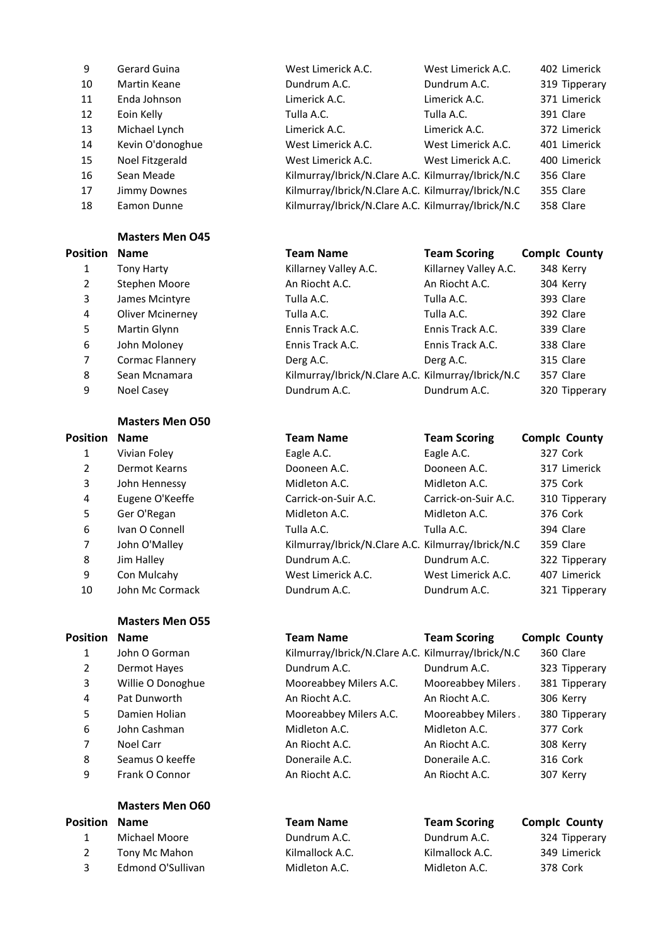| 9  | Gerard Guina     | West Limerick A.C.                                 | West Limerick A.C. | 402 Limerick  |
|----|------------------|----------------------------------------------------|--------------------|---------------|
| 10 | Martin Keane     | Dundrum A.C.                                       | Dundrum A.C.       | 319 Tipperary |
| 11 | Enda Johnson     | Limerick A.C.                                      | Limerick A.C.      | 371 Limerick  |
| 12 | Eoin Kelly       | Tulla A.C.                                         | Tulla A.C.         | 391 Clare     |
| 13 | Michael Lynch    | Limerick A.C.                                      | Limerick A.C.      | 372 Limerick  |
| 14 | Kevin O'donoghue | West Limerick A.C.                                 | West Limerick A.C. | 401 Limerick  |
| 15 | Noel Fitzgerald  | West Limerick A.C.                                 | West Limerick A.C. | 400 Limerick  |
| 16 | Sean Meade       | Kilmurray/Ibrick/N.Clare A.C. Kilmurray/Ibrick/N.C |                    | 356 Clare     |
| 17 | Jimmy Downes     | Kilmurray/Ibrick/N.Clare A.C. Kilmurray/Ibrick/N.C |                    | 355 Clare     |
| 18 | Eamon Dunne      | Kilmurray/Ibrick/N.Clare A.C. Kilmurray/Ibrick/N.C |                    | 358 Clare     |

## **Masters Men O45**

## **Position Name T**

| 1 | <b>Tony Harty</b>       |
|---|-------------------------|
| 2 | Stephen Moore           |
| 3 | James Mcintyre          |
| 4 | <b>Oliver Mcinerney</b> |
| 5 | Martin Glynn            |
| 6 | John Moloney            |
| 7 | Cormac Flannery         |
| 8 | Sean Mcnamara           |
| q | <b>Noel Casey</b>       |

#### **Masters Men O50**

# **Position Name Team Name Team Scoring CompId County**

| ячоп           | ivame           |
|----------------|-----------------|
| 1              | Vivian Foley    |
| $\mathfrak{p}$ | Dermot Kearns   |
| 3              | John Hennessy   |
| 4              | Eugene O'Keeffe |
| 5              | Ger O'Regan     |
| 6              | Ivan O Connell  |
| 7              | John O'Malley   |
| 8              | Jim Halley      |
| 9              | Con Mulcahy     |
| 10             | John Mc Cormack |
|                |                 |
|                |                 |

# **Masters Men O55**

# **Position Name**

- 1 John O Gorman 4 Pat Dunworth 6 John Cashman
- 8 Seamus O keeffe
- 9 Frank O Connor

# **Masters Men O60**

- 
- 

| ition          | <b>Name</b>             | <b>Team Name</b>                                   | <b>Team Scoring</b>   | <b>Complc County</b> |
|----------------|-------------------------|----------------------------------------------------|-----------------------|----------------------|
| 1              | <b>Tony Harty</b>       | Killarney Valley A.C.                              | Killarney Valley A.C. | 348 Kerry            |
| $\overline{2}$ | Stephen Moore           | An Riocht A.C.                                     | An Riocht A.C.        | 304 Kerry            |
| 3              | James Mcintyre          | Tulla A.C.                                         | Tulla A.C.            | 393 Clare            |
| 4              | <b>Oliver Mcinerney</b> | Tulla A.C.                                         | Tulla A.C.            | 392 Clare            |
| 5.             | Martin Glynn            | Ennis Track A.C.                                   | Ennis Track A.C.      | 339 Clare            |
| 6              | John Moloney            | Ennis Track A.C.                                   | Ennis Track A.C.      | 338 Clare            |
| 7.             | Cormac Flannery         | Derg A.C.                                          | Derg A.C.             | 315 Clare            |
| 8              | Sean Mcnamara           | Kilmurray/Ibrick/N.Clare A.C. Kilmurray/Ibrick/N.C |                       | 357 Clare            |
| 9              | Noel Casey              | Dundrum A.C.                                       | Dundrum A.C.          | 320 Tipperary        |
|                |                         |                                                    |                       |                      |

| sition | <b>Name</b>     | <b>Team Name</b>                                   | <b>Team Scoring</b>  | <b>Complc County</b> |
|--------|-----------------|----------------------------------------------------|----------------------|----------------------|
| 1      | Vivian Foley    | Eagle A.C.                                         | Eagle A.C.           | 327 Cork             |
| 2      | Dermot Kearns   | Dooneen A.C.                                       | Dooneen A.C.         | 317 Limerick         |
| 3      | John Hennessy   | Midleton A.C.                                      | Midleton A.C.        | 375 Cork             |
| 4      | Eugene O'Keeffe | Carrick-on-Suir A.C.                               | Carrick-on-Suir A.C. | 310 Tipperary        |
| 5      | Ger O'Regan     | Midleton A.C.                                      | Midleton A.C.        | 376 Cork             |
| 6      | Ivan O Connell  | Tulla A.C.                                         | Tulla A.C.           | 394 Clare            |
| 7      | John O'Malley   | Kilmurray/Ibrick/N.Clare A.C. Kilmurray/Ibrick/N.C |                      | 359 Clare            |
| 8      | Jim Halley      | Dundrum A.C.                                       | Dundrum A.C.         | 322 Tipperary        |
| 9      | Con Mulcahy     | West Limerick A.C.                                 | West Limerick A.C.   | 407 Limerick         |
| 10     | John Mc Cormack | Dundrum A.C.                                       | Dundrum A.C.         | 321 Tipperary        |
|        |                 |                                                    |                      |                      |

| sition         | <b>Name</b>       | <b>Team Name</b>                                   | <b>Team Scoring</b> | <b>Complc County</b> |
|----------------|-------------------|----------------------------------------------------|---------------------|----------------------|
| $\mathbf{1}$   | John O Gorman     | Kilmurray/Ibrick/N.Clare A.C. Kilmurray/Ibrick/N.C |                     | 360 Clare            |
| $\overline{2}$ | Dermot Hayes      | Dundrum A.C.                                       | Dundrum A.C.        | 323 Tipperary        |
| 3              | Willie O Donoghue | Mooreabbey Milers A.C.                             | Mooreabbey Milers   | 381 Tipperary        |
| 4              | Pat Dunworth      | An Riocht A.C.                                     | An Riocht A.C.      | 306 Kerry            |
| 5.             | Damien Holian     | Mooreabbey Milers A.C.                             | Mooreabbey Milers   | 380 Tipperary        |
| 6              | John Cashman      | Midleton A.C.                                      | Midleton A.C.       | 377 Cork             |
| $\overline{7}$ | Noel Carr         | An Riocht A.C.                                     | An Riocht A.C.      | 308 Kerry            |
| 8              | Seamus O keeffe   | Doneraile A.C.                                     | Doneraile A.C.      | 316 Cork             |
| 9              | Frank O Connor    | An Riocht A.C.                                     | An Riocht A.C.      | 307 Kerry            |
|                |                   |                                                    |                     |                      |

| <b>Position Name</b> |                   | <b>Team Name</b> | <b>Team Scoring</b> | <b>Comple County</b> |
|----------------------|-------------------|------------------|---------------------|----------------------|
|                      | Michael Moore     | Dundrum A.C.     | Dundrum A.C.        | 324 Tipperary        |
|                      | Tony Mc Mahon     | Kilmallock A.C.  | Kilmallock A.C.     | 349 Limerick         |
|                      | Edmond O'Sullivan | Midleton A.C.    | Midleton A.C.       | 378 Cork             |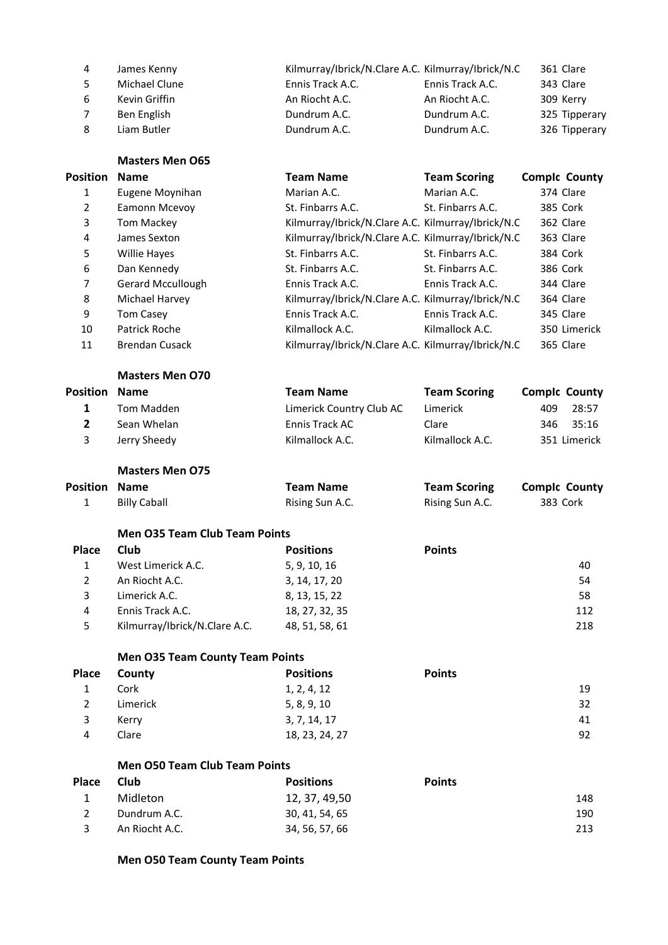| 4  | James Kenny   | Kilmurray/Ibrick/N.Clare A.C. Kilmurray/Ibrick/N.C |                  | 361 Clare     |
|----|---------------|----------------------------------------------------|------------------|---------------|
| -5 | Michael Clune | Ennis Track A.C.                                   | Ennis Track A.C. | 343 Clare     |
| -6 | Kevin Griffin | An Riocht A.C.                                     | An Riocht A.C.   | 309 Kerry     |
|    | Ben English   | Dundrum A.C.                                       | Dundrum A.C.     | 325 Tipperary |
| 8  | Liam Butler   | Dundrum A.C.                                       | Dundrum A.C.     | 326 Tipperary |

**Masters Men O65**

| Dundrum A.C. |  |
|--------------|--|
|              |  |
|              |  |
|              |  |
|              |  |

|                 | EUR INIEII UDJ        |                                                    |                     |                      |
|-----------------|-----------------------|----------------------------------------------------|---------------------|----------------------|
| <b>Position</b> | <b>Name</b>           | <b>Team Name</b>                                   | <b>Team Scoring</b> | <b>Complc County</b> |
| 1               | Eugene Moynihan       | Marian A.C.                                        | Marian A.C.         | 374 Clare            |
| 2               | Eamonn Mcevoy         | St. Finbarrs A.C.                                  | St. Finbarrs A.C.   | 385 Cork             |
| 3               | Tom Mackey            | Kilmurray/Ibrick/N.Clare A.C. Kilmurray/Ibrick/N.C |                     | 362 Clare            |
| 4               | James Sexton          | Kilmurray/Ibrick/N.Clare A.C. Kilmurray/Ibrick/N.C |                     | 363 Clare            |
| 5               | <b>Willie Hayes</b>   | St. Finbarrs A.C.                                  | St. Finbarrs A.C.   | 384 Cork             |
| 6               | Dan Kennedy           | St. Finbarrs A.C.                                  | St. Finbarrs A.C.   | 386 Cork             |
| 7               | Gerard Mccullough     | Ennis Track A.C.                                   | Ennis Track A.C.    | 344 Clare            |
| 8               | Michael Harvey        | Kilmurray/Ibrick/N.Clare A.C. Kilmurray/Ibrick/N.C |                     | 364 Clare            |
| 9               | <b>Tom Casey</b>      | Ennis Track A.C.                                   | Ennis Track A.C.    | 345 Clare            |
| 10              | Patrick Roche         | Kilmallock A.C.                                    | Kilmallock A.C.     | 350 Limerick         |
| 11              | <b>Brendan Cusack</b> | Kilmurray/Ibrick/N.Clare A.C. Kilmurray/Ibrick/N.C |                     | 365 Clare            |

| <b>Masters Men O70</b> |  |  |
|------------------------|--|--|
|------------------------|--|--|

| <b>Position Name</b> |              | <b>Team Name</b>         | <b>Team Scoring</b> | <b>Comple County</b> |              |
|----------------------|--------------|--------------------------|---------------------|----------------------|--------------|
|                      | Tom Madden   | Limerick Country Club AC | Limerick            | 409                  | 28:57        |
|                      | Sean Whelan  | Ennis Track AC           | Clare               |                      | 346 35:16    |
| 3                    | Jerry Sheedy | Kilmallock A.C.          | Kilmallock A.C.     |                      | 351 Limerick |
|                      |              |                          |                     |                      |              |

**Masters Men O75**

| <b>Position Name</b> |                     | Team Name       | <b>Team Scoring</b> | <b>Complc County</b> |
|----------------------|---------------------|-----------------|---------------------|----------------------|
|                      | <b>Billy Caball</b> | Rising Sun A.C. | Rising Sun A.C.     | 383 Cork             |

#### **Men O35 Team Club Team Points**

| <b>Place</b> | <b>Club</b>                   | <b>Positions</b> | <b>Points</b> |     |
|--------------|-------------------------------|------------------|---------------|-----|
|              | West Limerick A.C.            | 5, 9, 10, 16     |               | 40  |
|              | An Riocht A.C.                | 3, 14, 17, 20    |               | 54  |
|              | Limerick A.C.                 | 8, 13, 15, 22    |               | 58  |
| 4            | Ennis Track A.C.              | 18, 27, 32, 35   |               | 112 |
|              | Kilmurray/Ibrick/N.Clare A.C. | 48, 51, 58, 61   |               | 218 |

# **Men O35 Team County Team Points**

|   | Place County | <b>Positions</b> | <b>Points</b> |
|---|--------------|------------------|---------------|
|   | Cork         | 1, 2, 4, 12      | 19            |
| 2 | Limerick     | 5, 8, 9, 10      | 32            |
|   | Kerry        | 3, 7, 14, 17     | 41            |
|   | Clare        | 18, 23, 24, 27   | 92            |

#### **Men O50 Team Club Team Points**

| Place | Club           | <b>Positions</b> | <b>Points</b> |     |
|-------|----------------|------------------|---------------|-----|
|       | Midleton       | 12, 37, 49,50    |               | 148 |
|       | Dundrum A.C.   | 30, 41, 54, 65   |               | 190 |
|       | An Riocht A.C. | 34, 56, 57, 66   |               | 213 |

# **Men O50 Team County Team Points**